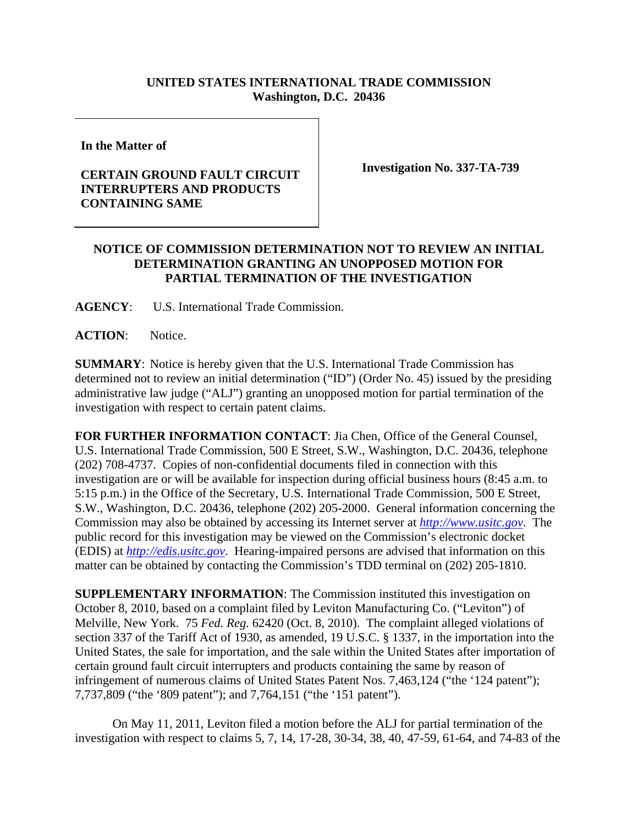## **UNITED STATES INTERNATIONAL TRADE COMMISSION Washington, D.C. 20436**

**In the Matter of** 

## **CERTAIN GROUND FAULT CIRCUIT INTERRUPTERS AND PRODUCTS CONTAINING SAME**

**Investigation No. 337-TA-739** 

## **NOTICE OF COMMISSION DETERMINATION NOT TO REVIEW AN INITIAL DETERMINATION GRANTING AN UNOPPOSED MOTION FOR PARTIAL TERMINATION OF THE INVESTIGATION**

**AGENCY**: U.S. International Trade Commission.

**ACTION**: Notice.

**SUMMARY**: Notice is hereby given that the U.S. International Trade Commission has determined not to review an initial determination ("ID") (Order No. 45) issued by the presiding administrative law judge ("ALJ") granting an unopposed motion for partial termination of the investigation with respect to certain patent claims.

**FOR FURTHER INFORMATION CONTACT**: Jia Chen, Office of the General Counsel, U.S. International Trade Commission, 500 E Street, S.W., Washington, D.C. 20436, telephone (202) 708-4737. Copies of non-confidential documents filed in connection with this investigation are or will be available for inspection during official business hours (8:45 a.m. to 5:15 p.m.) in the Office of the Secretary, U.S. International Trade Commission, 500 E Street, S.W., Washington, D.C. 20436, telephone (202) 205-2000. General information concerning the Commission may also be obtained by accessing its Internet server at *http://www.usitc.gov*. The public record for this investigation may be viewed on the Commission's electronic docket (EDIS) at *http://edis.usitc.gov*. Hearing-impaired persons are advised that information on this matter can be obtained by contacting the Commission's TDD terminal on (202) 205-1810.

**SUPPLEMENTARY INFORMATION**: The Commission instituted this investigation on October 8, 2010, based on a complaint filed by Leviton Manufacturing Co. ("Leviton") of Melville, New York. 75 *Fed. Reg.* 62420 (Oct. 8, 2010). The complaint alleged violations of section 337 of the Tariff Act of 1930, as amended, 19 U.S.C. § 1337, in the importation into the United States, the sale for importation, and the sale within the United States after importation of certain ground fault circuit interrupters and products containing the same by reason of infringement of numerous claims of United States Patent Nos. 7,463,124 ("the '124 patent"); 7,737,809 ("the '809 patent"); and 7,764,151 ("the '151 patent").

On May 11, 2011, Leviton filed a motion before the ALJ for partial termination of the investigation with respect to claims 5, 7, 14, 17-28, 30-34, 38, 40, 47-59, 61-64, and 74-83 of the